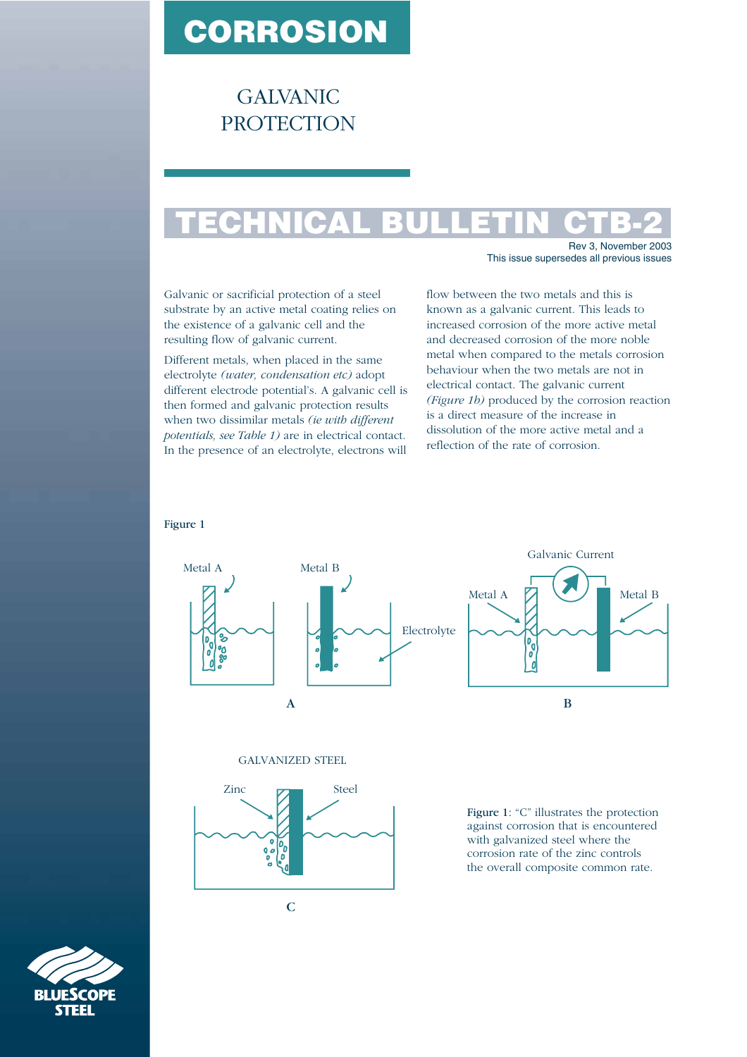## **CORROSION**

GALVANIC PROTECTION

## **TECHNICAL BULLETIN CTB-2**

Rev 3, November 2003 This issue supersedes all previous issues

Galvanic or sacrificial protection of a steel substrate by an active metal coating relies on the existence of a galvanic cell and the resulting flow of galvanic current.

Different metals, when placed in the same electrolyte *(water, condensation etc)* adopt different electrode potential's. A galvanic cell is then formed and galvanic protection results when two dissimilar metals *(ie with different potentials, see Table 1)* are in electrical contact. In the presence of an electrolyte, electrons will flow between the two metals and this is known as a galvanic current. This leads to increased corrosion of the more active metal and decreased corrosion of the more noble metal when compared to the metals corrosion behaviour when the two metals are not in electrical contact. The galvanic current *(Figure 1b)* produced by the corrosion reaction is a direct measure of the increase in dissolution of the more active metal and a reflection of the rate of corrosion.

## Figure 1



GALVANIZED STEEL



 $\overline{C}$ 

Figure 1: "C" illustrates the protection against corrosion that is encountered with galvanized steel where the corrosion rate of the zinc controls the overall composite common rate.